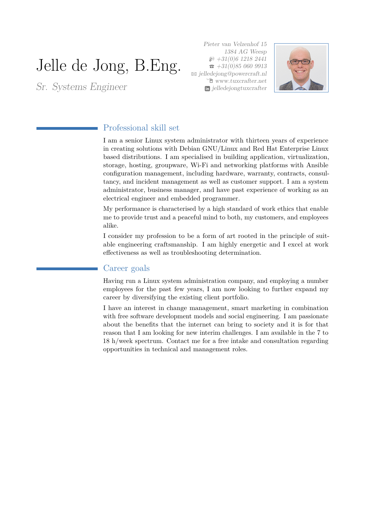# Jelle de Jong, B.Eng.

Sr. Systems Engineer

Pieter van Velzenhof 15 1384 AG Weesp  $\wp$  +31(0)6 1218 2441  $\bar{z}$  +31(0)85 060 9913 B [jelledejong@powercraft.nl](mailto:jelledejong@powercraft.nl) Í [www.tuxcrafter.net](http://www.tuxcrafter.net) [jelledejongtuxcrafter](http://www.linkedin.com/in/jelledejongtuxcrafter)



# Professional skill set

I am a senior Linux system administrator with thirteen years of experience in creating solutions with Debian GNU/Linux and Red Hat Enterprise Linux based distributions. I am specialised in building application, virtualization, storage, hosting, groupware, Wi-Fi and networking platforms with Ansible configuration management, including hardware, warranty, contracts, consultancy, and incident management as well as customer support. I am a system administrator, business manager, and have past experience of working as an electrical engineer and embedded programmer.

My performance is characterised by a high standard of work ethics that enable me to provide trust and a peaceful mind to both, my customers, and employees alike.

I consider my profession to be a form of art rooted in the principle of suitable engineering craftsmanship. I am highly energetic and I excel at work effectiveness as well as troubleshooting determination.

### Career goals

Having run a Linux system administration company, and employing a number employees for the past few years, I am now looking to further expand my career by diversifying the existing client portfolio.

I have an interest in change management, smart marketing in combination with free software development models and social engineering. I am passionate about the benefits that the internet can bring to society and it is for that reason that I am looking for new interim challenges. I am available in the 7 to 18 h/week spectrum. Contact me for a free intake and consultation regarding opportunities in technical and management roles.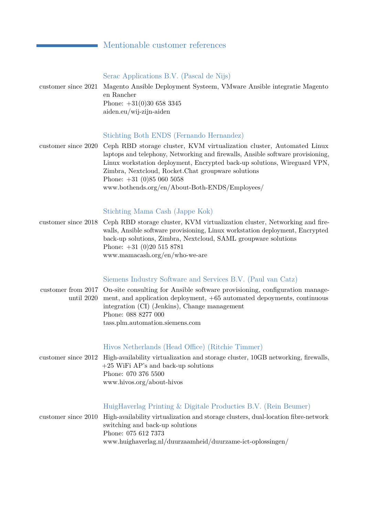# Mentionable customer references

| customer since 2021 | Serac Applications B.V. (Pascal de Nijs)<br>Magento Ansible Deployment Systeem, VMware Ansible integratie Magento<br>en Rancher<br>Phone: $+31(0)30$ 658 3345<br>aiden.eu/wij-zijn-aiden                                                                                                                                                                                                                                  |
|---------------------|---------------------------------------------------------------------------------------------------------------------------------------------------------------------------------------------------------------------------------------------------------------------------------------------------------------------------------------------------------------------------------------------------------------------------|
| customer since 2020 | Stichting Both ENDS (Fernando Hernandez)<br>Ceph RBD storage cluster, KVM virtualization cluster, Automated Linux<br>laptops and telephony, Networking and firewalls, Ansible software provisioning,<br>Linux workstation deployment, Encrypted back-up solutions, Wireguard VPN,<br>Zimbra, Nextcloud, Rocket. Chat groupware solutions<br>Phone: $+31$ (0)85 060 5058<br>www.bothends.org/en/About-Both-ENDS/Employees/ |
| customer since 2018 | Stichting Mama Cash (Jappe Kok)<br>Ceph RBD storage cluster, KVM virtualization cluster, Networking and fire-<br>walls, Ansible software provisioning, Linux workstation deployment, Encrypted<br>back-up solutions, Zimbra, Nextcloud, SAML groupware solutions<br>Phone: $+31$ (0)20 515 8781<br>www.mamacash.org/en/who-we-are                                                                                         |
| until 2020          | Siemens Industry Software and Services B.V. (Paul van Catz)<br>customer from 2017 On-site consulting for Ansible software provisioning, configuration manage-<br>ment, and application deployment, $+65$ automated depoyments, continuous<br>integration (CI) (Jenkins), Change management<br>Phone: 088 8277 000<br>tass.plm.automation.siemens.com                                                                      |

## Hivos Netherlands (Head Office) (Ritchie Timmer)

customer since 2012 High-availability virtualization and storage cluster, 10GB networking, firewalls, +25 WiFi AP's and back-up solutions Phone: 070 376 5500 [www.hivos.org/about-hivos](http://www.hivos.org/about-hivos)

# HuigHaverlag Printing & Digitale Producties B.V. (Rein Beumer)

customer since 2010 High-availability virtualization and storage clusters, dual-location fibre-network switching and back-up solutions Phone: 075 612 7373 [www.huighaverlag.nl/duurzaamheid/duurzame-ict-oplossingen/](http://www.huighaverlag.nl/duurzaamheid/duurzame-ict-oplossingen/)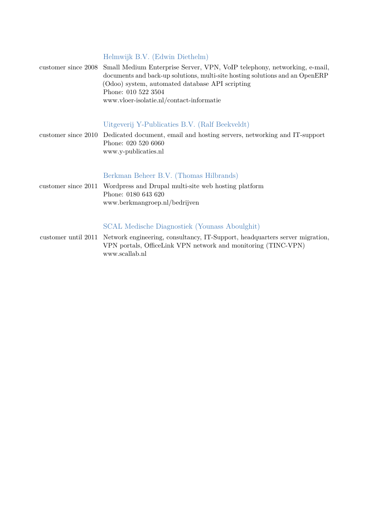#### Helmwijk B.V. (Edwin Diethelm)

| customer since 2008 Small Medium Enterprise Server, VPN, VoIP telephony, networking, e-mail, |
|----------------------------------------------------------------------------------------------|
| documents and back-up solutions, multi-site hosting solutions and an OpenERP                 |
| (Odoo) system, automated database API scripting                                              |
| Phone: 010 522 3504                                                                          |
| www.vloer-isolatie.nl/contact-informatie                                                     |

#### Uitgeverij Y-Publicaties B.V. (Ralf Beekveldt)

customer since 2010 Dedicated document, email and hosting servers, networking and IT-support Phone: 020 520 6060 [www.y-publicaties.nl](http://www.y-publicaties.nl)

#### Berkman Beheer B.V. (Thomas Hilbrands)

customer since 2011 Wordpress and Drupal multi-site web hosting platform Phone: 0180 643 620 [www.berkmangroep.nl/bedrijven](http://www.berkmangroep.nl/bedrijven)

# SCAL Medische Diagnostiek (Younass Aboulghit)

customer until 2011 Network engineering, consultancy, IT-Support, headquarters server migration, VPN portals, OfficeLink VPN network and monitoring (TINC-VPN) [www.scallab.nl](http://www.scallab.nl)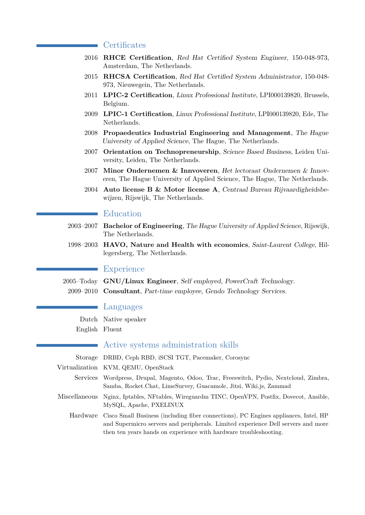## **Certificates**

- 2016 **RHCE Certification**, Red Hat Certified System Engineer, 150-048-973, Amsterdam, The Netherlands.
- 2015 **RHCSA Certification**, Red Hat Certified System Administrator, 150-048- 973, Nieuwegein, The Netherlands.
- 2011 **LPIC-2 Certification**, Linux Professional Institute, LPI000139820, Brussels, Belgium.
- 2009 **LPIC-1 Certification**, Linux Professional Institute, LPI000139820, Ede, The Netherlands.
- 2008 **Propaedeutics Industrial Engineering and Management**, The Hague University of Applied Science, The Hague, The Netherlands.
- 2007 **Orientation on Technopreneurship**, Science Based Business, Leiden University, Leiden, The Netherlands.
- 2007 **Minor Ondernemen & Innvoveren**, Het lectoraat Ondernemen & Innoveren, The Hague University of Applied Science, The Hague, The Netherlands.
- 2004 **Auto license B & Motor license A**, Centraal Bureau Rijvaardigheidsbewijzen, Rijswijk, The Netherlands.

### Education

- 2003–2007 **Bachelor of Engineering**, The Hague University of Applied Science, Rijswijk, The Netherlands.
- 1998–2003 **HAVO, Nature and Health with economics**, Saint-Laurent College, Hillegersberg, The Netherlands.

#### **Experience**

2005–Today **GNU/Linux Engineer**, Self employed, PowerCraft Technology. 2009–2010 **Consultant**, Part-time employee, Gendo Technology Services.

#### Languages

Dutch Native speaker

English Fluent

#### Active systems administration skills

Storage DRBD, Ceph RBD, iSCSI TGT, Pacemaker, Corosync

- Virtualization KVM, QEMU, OpenStack
	- Services Wordpress, Drupal, Magento, Odoo, Trac, Freeswitch, Pydio, Nextcloud, Zimbra, Samba, Rocket.Chat, LimeSurvey, Guacamole, Jitsi, Wiki.js, Zammad
- Miscellaneous Nginx, Iptables, NFtables, Wireguardm TINC, OpenVPN, Postfix, Dovecot, Ansible, MySQL, Apache, PXELINUX

Hardware Cisco Small Business (including fiber connections), PC Engines appliances, Intel, HP and Supermicro servers and peripherals. Limited experience Dell servers and more then ten years hands on experience with hardware troubleshooting.